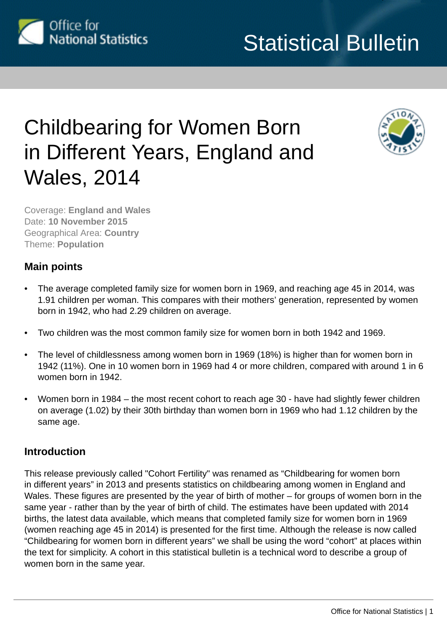

# Childbearing for Women Born in Different Years, England and Wales, 2014



Coverage: **England and Wales** Date: **10 November 2015** Geographical Area: **Country** Theme: **Population**

# **Main points**

- The average completed family size for women born in 1969, and reaching age 45 in 2014, was 1.91 children per woman. This compares with their mothers' generation, represented by women born in 1942, who had 2.29 children on average.
- Two children was the most common family size for women born in both 1942 and 1969.
- The level of childlessness among women born in 1969 (18%) is higher than for women born in 1942 (11%). One in 10 women born in 1969 had 4 or more children, compared with around 1 in 6 women born in 1942.
- Women born in 1984 the most recent cohort to reach age 30 have had slightly fewer children on average (1.02) by their 30th birthday than women born in 1969 who had 1.12 children by the same age.

# **Introduction**

This release previously called "Cohort Fertility" was renamed as "Childbearing for women born in different years" in 2013 and presents statistics on childbearing among women in England and Wales. These figures are presented by the year of birth of mother – for groups of women born in the same year - rather than by the year of birth of child. The estimates have been updated with 2014 births, the latest data available, which means that completed family size for women born in 1969 (women reaching age 45 in 2014) is presented for the first time. Although the release is now called "Childbearing for women born in different years" we shall be using the word "cohort" at places within the text for simplicity. A cohort in this statistical bulletin is a technical word to describe a group of women born in the same year.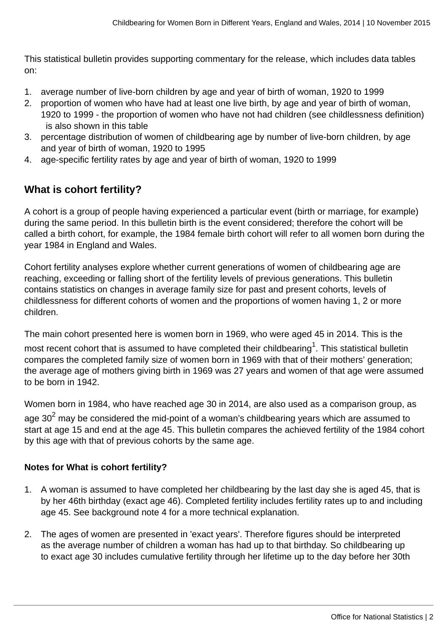This statistical bulletin provides supporting commentary for the release, which includes data tables on:

- 1. average number of live-born children by age and year of birth of woman, 1920 to 1999
- 2. proportion of women who have had at least one live birth, by age and year of birth of woman, 1920 to 1999 - the proportion of women who have not had children (see childlessness definition) is also shown in this table
- 3. percentage distribution of women of childbearing age by number of live-born children, by age and year of birth of woman, 1920 to 1995
- 4. age-specific fertility rates by age and year of birth of woman, 1920 to 1999

# **What is cohort fertility?**

A cohort is a group of people having experienced a particular event (birth or marriage, for example) during the same period. In this bulletin birth is the event considered; therefore the cohort will be called a birth cohort, for example, the 1984 female birth cohort will refer to all women born during the year 1984 in England and Wales.

Cohort fertility analyses explore whether current generations of women of childbearing age are reaching, exceeding or falling short of the fertility levels of previous generations. This bulletin contains statistics on changes in average family size for past and present cohorts, levels of childlessness for different cohorts of women and the proportions of women having 1, 2 or more children.

The main cohort presented here is women born in 1969, who were aged 45 in 2014. This is the most recent cohort that is assumed to have completed their childbearing $^{\rm 1}$ . This statistical bulletin compares the completed family size of women born in 1969 with that of their mothers' generation; the average age of mothers giving birth in 1969 was 27 years and women of that age were assumed to be born in 1942.

Women born in 1984, who have reached age 30 in 2014, are also used as a comparison group, as age 30 $^{\mathsf{2}}$  may be considered the mid-point of a woman's childbearing years which are assumed to start at age 15 and end at the age 45. This bulletin compares the achieved fertility of the 1984 cohort by this age with that of previous cohorts by the same age.

#### **Notes for What is cohort fertility?**

- 1. A woman is assumed to have completed her childbearing by the last day she is aged 45, that is by her 46th birthday (exact age 46). Completed fertility includes fertility rates up to and including age 45. See background note 4 for a more technical explanation.
- 2. The ages of women are presented in 'exact years'. Therefore figures should be interpreted as the average number of children a woman has had up to that birthday. So childbearing up to exact age 30 includes cumulative fertility through her lifetime up to the day before her 30th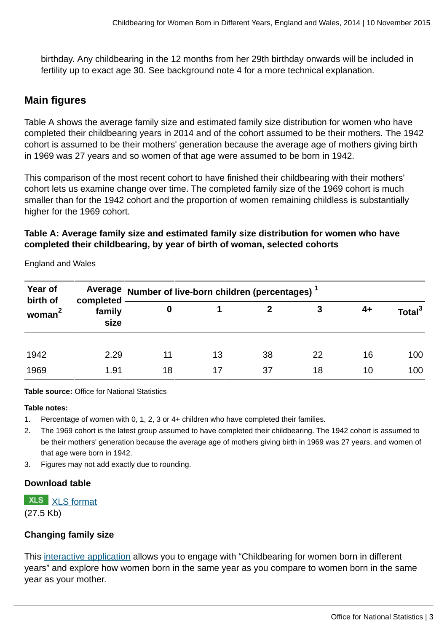birthday. Any childbearing in the 12 months from her 29th birthday onwards will be included in fertility up to exact age 30. See background note 4 for a more technical explanation.

# **Main figures**

Table A shows the average family size and estimated family size distribution for women who have completed their childbearing years in 2014 and of the cohort assumed to be their mothers. The 1942 cohort is assumed to be their mothers' generation because the average age of mothers giving birth in 1969 was 27 years and so women of that age were assumed to be born in 1942.

This comparison of the most recent cohort to have finished their childbearing with their mothers' cohort lets us examine change over time. The completed family size of the 1969 cohort is much smaller than for the 1942 cohort and the proportion of women remaining childless is substantially higher for the 1969 cohort.

#### **Table A: Average family size and estimated family size distribution for women who have completed their childbearing, by year of birth of woman, selected cohorts**

| Year of<br>birth of<br>woman | completed<br>family<br>size | Average Number of live-born children (percentages) - |    |    |    |    |                    |  |
|------------------------------|-----------------------------|------------------------------------------------------|----|----|----|----|--------------------|--|
|                              |                             | 0                                                    |    |    | 3  | 4+ | Total <sup>3</sup> |  |
|                              |                             |                                                      |    |    |    |    |                    |  |
| 1942                         | 2.29                        | 11                                                   | 13 | 38 | 22 | 16 | 100                |  |
| 1969                         | 1.91                        | 18                                                   | 17 | 37 | 18 | 10 | 100                |  |

England and Wales

**Table source:** Office for National Statistics

#### **Table notes:**

- 1. Percentage of women with 0, 1, 2, 3 or 4+ children who have completed their families.
- 2. The 1969 cohort is the latest group assumed to have completed their childbearing. The 1942 cohort is assumed to be their mothers' generation because the average age of mothers giving birth in 1969 was 27 years, and women of that age were born in 1942.
- 3. Figures may not add exactly due to rounding.

#### **Download table**

**XLS** [XLS format](http://www.ons.gov.uk:80/ons/rel/fertility-analysis/childbearing-for-women-born-in-different-years/2014/prt-a.xls)

(27.5 Kb)

#### **Changing family size**

This [interactive application](http://www.neighbourhood.statistics.gov.uk/HTMLDocs/dvc211/index.html) allows you to engage with "Childbearing for women born in different years" and explore how women born in the same year as you compare to women born in the same year as your mother.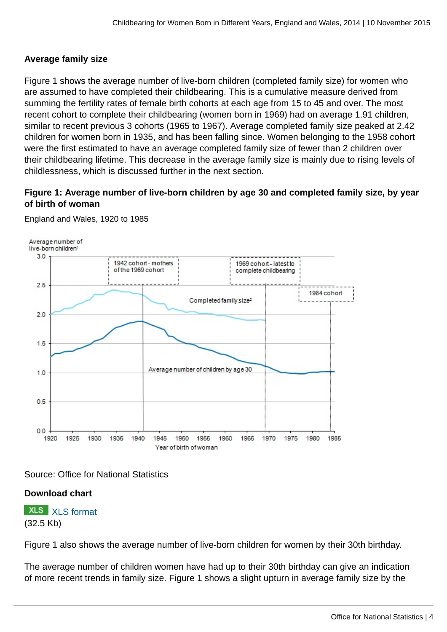#### **Average family size**

Figure 1 shows the average number of live-born children (completed family size) for women who are assumed to have completed their childbearing. This is a cumulative measure derived from summing the fertility rates of female birth cohorts at each age from 15 to 45 and over. The most recent cohort to complete their childbearing (women born in 1969) had on average 1.91 children, similar to recent previous 3 cohorts (1965 to 1967). Average completed family size peaked at 2.42 children for women born in 1935, and has been falling since. Women belonging to the 1958 cohort were the first estimated to have an average completed family size of fewer than 2 children over their childbearing lifetime. This decrease in the average family size is mainly due to rising levels of childlessness, which is discussed further in the next section.

### **Figure 1: Average number of live-born children by age 30 and completed family size, by year of birth of woman**



England and Wales, 1920 to 1985

Source: Office for National Statistics

# **Download chart**

**XLS** [XLS format](http://www.ons.gov.uk:80/ons/rel/fertility-analysis/childbearing-for-women-born-in-different-years/2014/chd-1.xls) (32.5 Kb)

Figure 1 also shows the average number of live-born children for women by their 30th birthday.

The average number of children women have had up to their 30th birthday can give an indication of more recent trends in family size. Figure 1 shows a slight upturn in average family size by the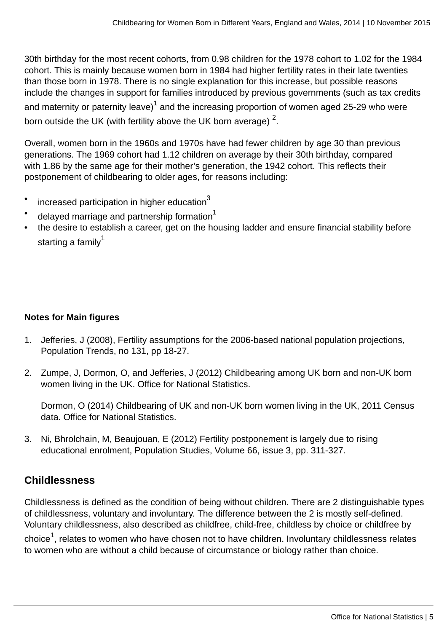30th birthday for the most recent cohorts, from 0.98 children for the 1978 cohort to 1.02 for the 1984 cohort. This is mainly because women born in 1984 had higher fertility rates in their late twenties than those born in 1978. There is no single explanation for this increase, but possible reasons include the changes in support for families introduced by previous governments (such as tax credits and maternity or paternity leave) $^{\rm 1}$  and the increasing proportion of women aged 25-29 who were born outside the UK (with fertility above the UK born average)  $^2$ .

Overall, women born in the 1960s and 1970s have had fewer children by age 30 than previous generations. The 1969 cohort had 1.12 children on average by their 30th birthday, compared with 1.86 by the same age for their mother's generation, the 1942 cohort. This reflects their postponement of childbearing to older ages, for reasons including:

- increased participation in higher education $3$
- delayed marriage and partnership formation $1$
- the desire to establish a career, get on the housing ladder and ensure financial stability before starting a famil $v^1$

# **Notes for Main figures**

- 1. Jefferies, J (2008), Fertility assumptions for the 2006-based national population projections, Population Trends, no 131, pp 18-27.
- 2. Zumpe, J, Dormon, O, and Jefferies, J (2012) Childbearing among UK born and non-UK born women living in the UK. Office for National Statistics.

Dormon, O (2014) Childbearing of UK and non-UK born women living in the UK, 2011 Census data. Office for National Statistics.

3. Ni, Bhrolchain, M, Beaujouan, E (2012) Fertility postponement is largely due to rising educational enrolment, Population Studies, Volume 66, issue 3, pp. 311-327.

# **Childlessness**

Childlessness is defined as the condition of being without children. There are 2 distinguishable types of childlessness, voluntary and involuntary. The difference between the 2 is mostly self-defined. Voluntary childlessness, also described as childfree, child-free, childless by choice or childfree by

choice $^1$ , relates to women who have chosen not to have children. Involuntary childlessness relates to women who are without a child because of circumstance or biology rather than choice.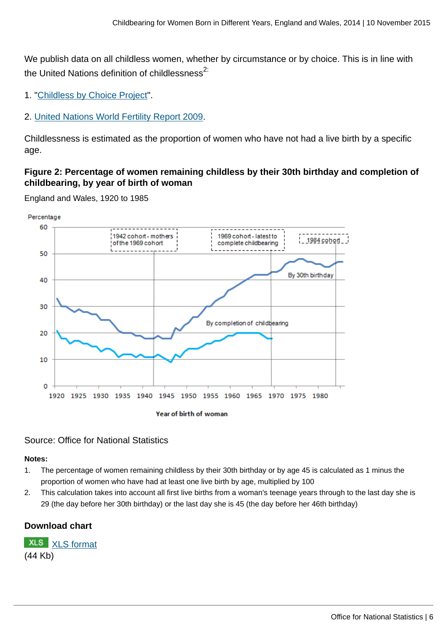We publish data on all childless women, whether by circumstance or by choice. This is in line with the United Nations definition of childlessness $^{2}$ :

- 1. "[Childless by Choice Project"](http://www.childlessbychoiceproject.com/Childless_by_Choice_Survey.html).
- 2. [United Nations World Fertility Report 2009](http://www.un.org/esa/population/publications/WFR2009_Web/Data/WFR2009_Report.pdf).

Childlessness is estimated as the proportion of women who have not had a live birth by a specific age.

#### **Figure 2: Percentage of women remaining childless by their 30th birthday and completion of childbearing, by year of birth of woman**





#### Source: Office for National Statistics

**Notes:**

- 1. The percentage of women remaining childless by their 30th birthday or by age 45 is calculated as 1 minus the proportion of women who have had at least one live birth by age, multiplied by 100
- 2. This calculation takes into account all first live births from a woman's teenage years through to the last day she is 29 (the day before her 30th birthday) or the last day she is 45 (the day before her 46th birthday)

#### **Download chart**

**XLS** [XLS format](http://www.ons.gov.uk:80/ons/rel/fertility-analysis/childbearing-for-women-born-in-different-years/2014/chd-2.xls) (44 Kb)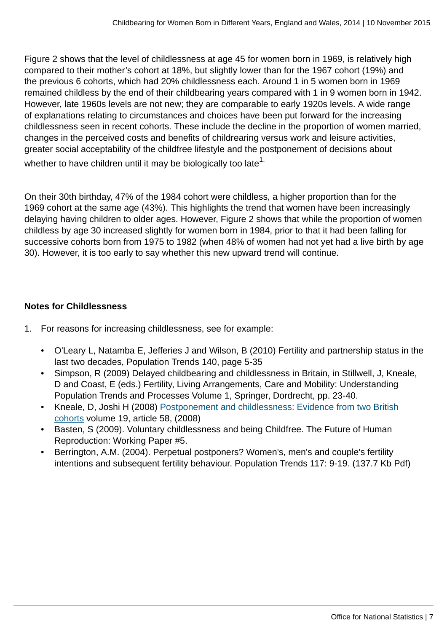Figure 2 shows that the level of childlessness at age 45 for women born in 1969, is relatively high compared to their mother's cohort at 18%, but slightly lower than for the 1967 cohort (19%) and the previous 6 cohorts, which had 20% childlessness each. Around 1 in 5 women born in 1969 remained childless by the end of their childbearing years compared with 1 in 9 women born in 1942. However, late 1960s levels are not new; they are comparable to early 1920s levels. A wide range of explanations relating to circumstances and choices have been put forward for the increasing childlessness seen in recent cohorts. These include the decline in the proportion of women married, changes in the perceived costs and benefits of childrearing versus work and leisure activities, greater social acceptability of the childfree lifestyle and the postponement of decisions about whether to have children until it may be biologically too late $1$ .

On their 30th birthday, 47% of the 1984 cohort were childless, a higher proportion than for the 1969 cohort at the same age (43%). This highlights the trend that women have been increasingly delaying having children to older ages. However, Figure 2 shows that while the proportion of women childless by age 30 increased slightly for women born in 1984, prior to that it had been falling for successive cohorts born from 1975 to 1982 (when 48% of women had not yet had a live birth by age 30). However, it is too early to say whether this new upward trend will continue.

## **Notes for Childlessness**

- 1. For reasons for increasing childlessness, see for example:
	- O'Leary L, Natamba E, Jefferies J and Wilson, B (2010) Fertility and partnership status in the last two decades, Population Trends 140, page 5-35
	- Simpson, R (2009) Delayed childbearing and childlessness in Britain, in Stillwell, J, Kneale, D and Coast, E (eds.) Fertility, Living Arrangements, Care and Mobility: Understanding Population Trends and Processes Volume 1, Springer, Dordrecht, pp. 23-40.
	- Kneale, D, Joshi H (2008) [Postponement and childlessness: Evidence from two British](http://www.demographic-research.org/Volumes/Vol19/58/) [cohorts](http://www.demographic-research.org/Volumes/Vol19/58/) volume 19, article 58, (2008)
	- Basten, S (2009). Voluntary childlessness and being Childfree. The Future of Human Reproduction: Working Paper #5.
	- Berrington, A.M. (2004). Perpetual postponers? Women's, men's and couple's fertility intentions and subsequent fertility behaviour. Population Trends 117: 9-19. (137.7 Kb Pdf)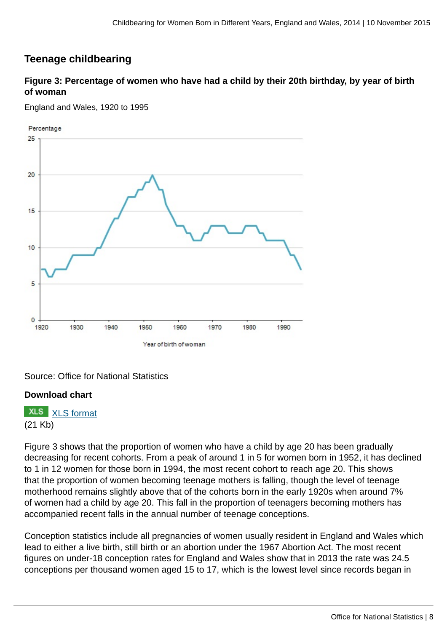# **Teenage childbearing**

**Figure 3: Percentage of women who have had a child by their 20th birthday, by year of birth of woman**

England and Wales, 1920 to 1995



Source: Office for National Statistics

#### **Download chart**

**XLS** [XLS format](http://www.ons.gov.uk:80/ons/rel/fertility-analysis/childbearing-for-women-born-in-different-years/2014/chd-3.xls) (21 Kb)

Figure 3 shows that the proportion of women who have a child by age 20 has been gradually decreasing for recent cohorts. From a peak of around 1 in 5 for women born in 1952, it has declined to 1 in 12 women for those born in 1994, the most recent cohort to reach age 20. This shows that the proportion of women becoming teenage mothers is falling, though the level of teenage motherhood remains slightly above that of the cohorts born in the early 1920s when around 7% of women had a child by age 20. This fall in the proportion of teenagers becoming mothers has accompanied recent falls in the annual number of teenage conceptions.

Conception statistics include all pregnancies of women usually resident in England and Wales which lead to either a live birth, still birth or an abortion under the 1967 Abortion Act. The most recent figures on under-18 conception rates for England and Wales show that in 2013 the rate was 24.5 conceptions per thousand women aged 15 to 17, which is the lowest level since records began in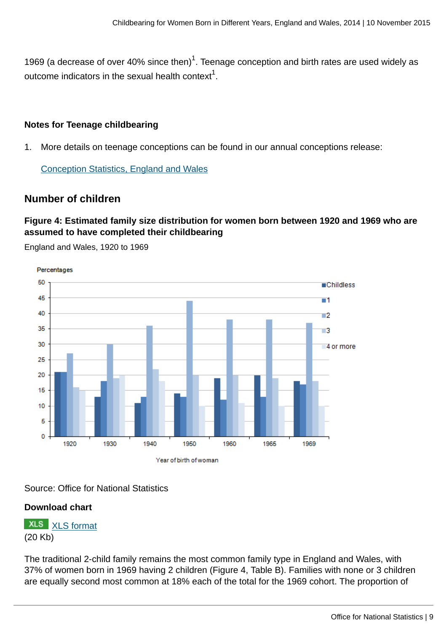1969 (a decrease of over 40% since then) $^1$ . Teenage conception and birth rates are used widely as outcome indicators in the sexual health context $^{\rm 1}.$ 

#### **Notes for Teenage childbearing**

1. More details on teenage conceptions can be found in our annual conceptions release:

[Conception Statistics, England and Wales](http://www.ons.gov.uk:80/ons/rel/vsob1/conception-statistics--england-and-wales/index.html)

# **Number of children**

#### **Figure 4: Estimated family size distribution for women born between 1920 and 1969 who are assumed to have completed their childbearing**

England and Wales, 1920 to 1969

Percentages 50 **Childless** 45 - 1 40 - 2 35  $\blacksquare$ 3 30 4 or more 25 20 15 10 5  $\mathbf 0$ 1920 1930 1940 1950 1960 1965 1969 Year of birth of woman

Source: Office for National Statistics

#### **Download chart**

**XLS** [XLS format](http://www.ons.gov.uk:80/ons/rel/fertility-analysis/childbearing-for-women-born-in-different-years/2014/chd-4.xls) (20 Kb)

The traditional 2-child family remains the most common family type in England and Wales, with 37% of women born in 1969 having 2 children (Figure 4, Table B). Families with none or 3 children are equally second most common at 18% each of the total for the 1969 cohort. The proportion of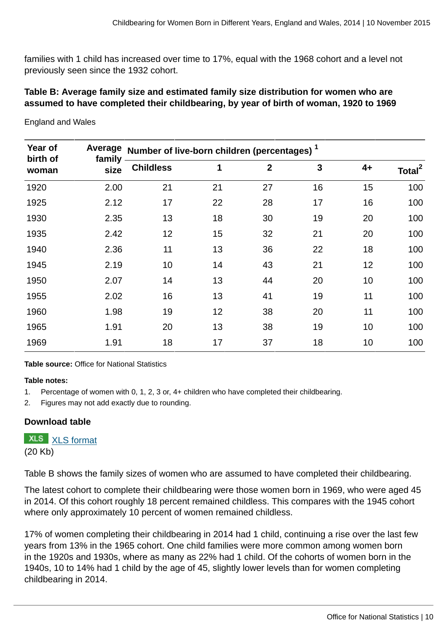families with 1 child has increased over time to 17%, equal with the 1968 cohort and a level not previously seen since the 1932 cohort.

## **Table B: Average family size and estimated family size distribution for women who are assumed to have completed their childbearing, by year of birth of woman, 1920 to 1969**

| Year of<br>birth of | Average<br>family<br>size | Number of live-born children (percentages) <sup>1</sup> |    |                |    |      |                    |
|---------------------|---------------------------|---------------------------------------------------------|----|----------------|----|------|--------------------|
| woman               |                           | <b>Childless</b>                                        | 1  | $\overline{2}$ | 3  | $4+$ | Total <sup>2</sup> |
| 1920                | 2.00                      | 21                                                      | 21 | 27             | 16 | 15   | 100                |
| 1925                | 2.12                      | 17                                                      | 22 | 28             | 17 | 16   | 100                |
| 1930                | 2.35                      | 13                                                      | 18 | 30             | 19 | 20   | 100                |
| 1935                | 2.42                      | 12                                                      | 15 | 32             | 21 | 20   | 100                |
| 1940                | 2.36                      | 11                                                      | 13 | 36             | 22 | 18   | 100                |
| 1945                | 2.19                      | 10                                                      | 14 | 43             | 21 | 12   | 100                |
| 1950                | 2.07                      | 14                                                      | 13 | 44             | 20 | 10   | 100                |
| 1955                | 2.02                      | 16                                                      | 13 | 41             | 19 | 11   | 100                |
| 1960                | 1.98                      | 19                                                      | 12 | 38             | 20 | 11   | 100                |
| 1965                | 1.91                      | 20                                                      | 13 | 38             | 19 | 10   | 100                |
| 1969                | 1.91                      | 18                                                      | 17 | 37             | 18 | 10   | 100                |

England and Wales

**Table source:** Office for National Statistics

#### **Table notes:**

- 1. Percentage of women with 0, 1, 2, 3 or, 4+ children who have completed their childbearing.
- 2. Figures may not add exactly due to rounding.

#### **Download table**

**XLS** [XLS format](http://www.ons.gov.uk:80/ons/rel/fertility-analysis/childbearing-for-women-born-in-different-years/2014/prt-b.xls) (20 Kb)

Table B shows the family sizes of women who are assumed to have completed their childbearing.

The latest cohort to complete their childbearing were those women born in 1969, who were aged 45 in 2014. Of this cohort roughly 18 percent remained childless. This compares with the 1945 cohort where only approximately 10 percent of women remained childless.

17% of women completing their childbearing in 2014 had 1 child, continuing a rise over the last few years from 13% in the 1965 cohort. One child families were more common among women born in the 1920s and 1930s, where as many as 22% had 1 child. Of the cohorts of women born in the 1940s, 10 to 14% had 1 child by the age of 45, slightly lower levels than for women completing childbearing in 2014.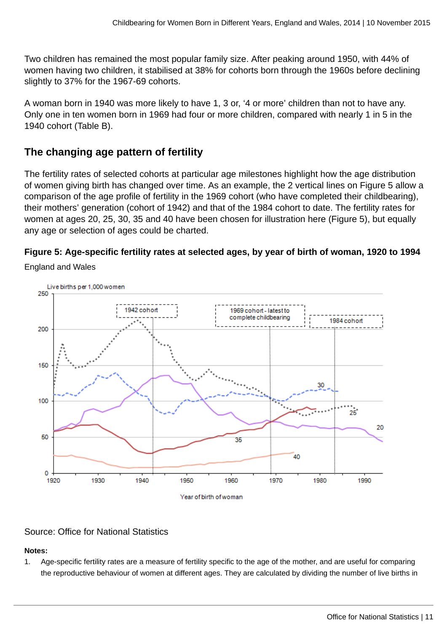Two children has remained the most popular family size. After peaking around 1950, with 44% of women having two children, it stabilised at 38% for cohorts born through the 1960s before declining slightly to 37% for the 1967-69 cohorts.

A woman born in 1940 was more likely to have 1, 3 or, '4 or more' children than not to have any. Only one in ten women born in 1969 had four or more children, compared with nearly 1 in 5 in the 1940 cohort (Table B).

# **The changing age pattern of fertility**

The fertility rates of selected cohorts at particular age milestones highlight how the age distribution of women giving birth has changed over time. As an example, the 2 vertical lines on Figure 5 allow a comparison of the age profile of fertility in the 1969 cohort (who have completed their childbearing), their mothers' generation (cohort of 1942) and that of the 1984 cohort to date. The fertility rates for women at ages 20, 25, 30, 35 and 40 have been chosen for illustration here (Figure 5), but equally any age or selection of ages could be charted.

# **Figure 5: Age-specific fertility rates at selected ages, by year of birth of woman, 1920 to 1994**

England and Wales



# Source: Office for National Statistics

# **Notes:**

1. Age-specific fertility rates are a measure of fertility specific to the age of the mother, and are useful for comparing the reproductive behaviour of women at different ages. They are calculated by dividing the number of live births in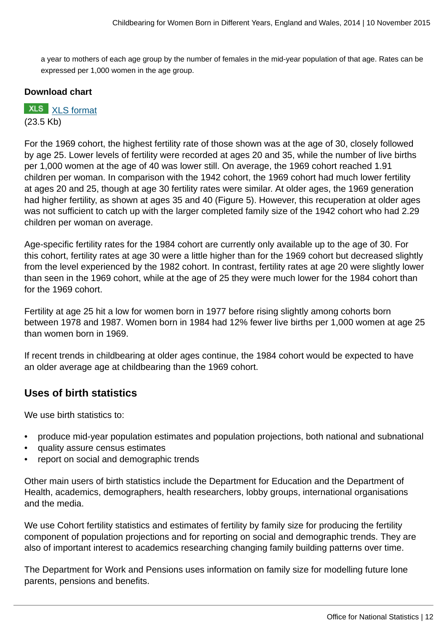a year to mothers of each age group by the number of females in the mid-year population of that age. Rates can be expressed per 1,000 women in the age group.

#### **Download chart**

**XLS** [XLS format](http://www.ons.gov.uk:80/ons/rel/fertility-analysis/childbearing-for-women-born-in-different-years/2014/chd-5.xls) (23.5 Kb)

For the 1969 cohort, the highest fertility rate of those shown was at the age of 30, closely followed by age 25. Lower levels of fertility were recorded at ages 20 and 35, while the number of live births per 1,000 women at the age of 40 was lower still. On average, the 1969 cohort reached 1.91 children per woman. In comparison with the 1942 cohort, the 1969 cohort had much lower fertility at ages 20 and 25, though at age 30 fertility rates were similar. At older ages, the 1969 generation had higher fertility, as shown at ages 35 and 40 (Figure 5). However, this recuperation at older ages was not sufficient to catch up with the larger completed family size of the 1942 cohort who had 2.29 children per woman on average.

Age-specific fertility rates for the 1984 cohort are currently only available up to the age of 30. For this cohort, fertility rates at age 30 were a little higher than for the 1969 cohort but decreased slightly from the level experienced by the 1982 cohort. In contrast, fertility rates at age 20 were slightly lower than seen in the 1969 cohort, while at the age of 25 they were much lower for the 1984 cohort than for the 1969 cohort.

Fertility at age 25 hit a low for women born in 1977 before rising slightly among cohorts born between 1978 and 1987. Women born in 1984 had 12% fewer live births per 1,000 women at age 25 than women born in 1969.

If recent trends in childbearing at older ages continue, the 1984 cohort would be expected to have an older average age at childbearing than the 1969 cohort.

# **Uses of birth statistics**

We use birth statistics to:

- produce mid-year population estimates and population projections, both national and subnational
- quality assure census estimates
- report on social and demographic trends

Other main users of birth statistics include the Department for Education and the Department of Health, academics, demographers, health researchers, lobby groups, international organisations and the media.

We use Cohort fertility statistics and estimates of fertility by family size for producing the fertility component of population projections and for reporting on social and demographic trends. They are also of important interest to academics researching changing family building patterns over time.

The Department for Work and Pensions uses information on family size for modelling future lone parents, pensions and benefits.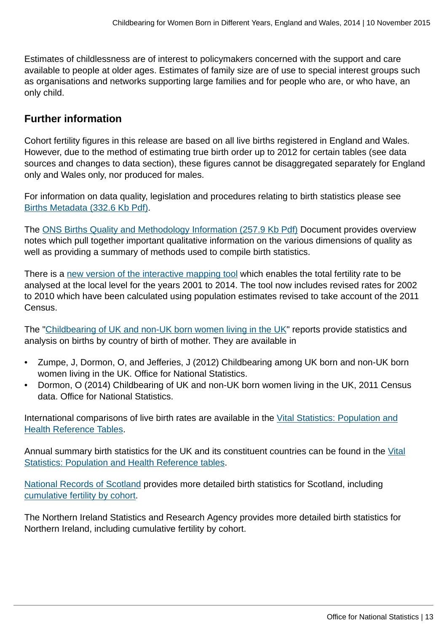Estimates of childlessness are of interest to policymakers concerned with the support and care available to people at older ages. Estimates of family size are of use to special interest groups such as organisations and networks supporting large families and for people who are, or who have, an only child.

# **Further information**

Cohort fertility figures in this release are based on all live births registered in England and Wales. However, due to the method of estimating true birth order up to 2012 for certain tables (see data sources and changes to data section), these figures cannot be disaggregated separately for England only and Wales only, nor produced for males.

For information on data quality, legislation and procedures relating to birth statistics please see [Births Metadata \(332.6 Kb Pdf\)](http://www.ons.gov.uk:80/ons/guide-method/user-guidance/health-and-life-events/births-metadata.pdf).

The [ONS Births Quality and Methodology Information \(257.9 Kb Pdf\)](http://www.ons.gov.uk:80/ons/guide-method/method-quality/quality/quality-information/population/quality-and-methodology-information-for-birth-statistics.pdf) Document provides overview notes which pull together important qualitative information on the various dimensions of quality as well as providing a summary of methods used to compile birth statistics.

There is a [new version of the interactive mapping tool](www.neighbourhood.statistics.gov.uk/HTMLDocs/dvc170/index.html) which enables the total fertility rate to be analysed at the local level for the years 2001 to 2014. The tool now includes revised rates for 2002 to 2010 which have been calculated using population estimates revised to take account of the 2011 Census.

The "[Childbearing of UK and non-UK born women living in the UK](http://www.ons.gov.uk:80/ons/rel/fertility-analysis/childbearing-of-uk-and-non-uk-born-women-living-in-the-uk/2011/index.html)" reports provide statistics and analysis on births by country of birth of mother. They are available in

- Zumpe, J, Dormon, O, and Jefferies, J (2012) Childbearing among UK born and non-UK born women living in the UK. Office for National Statistics.
- Dormon, O (2014) Childbearing of UK and non-UK born women living in the UK, 2011 Census data. Office for National Statistics.

International comparisons of live birth rates are available in the [Vital Statistics: Population and](http://www.ons.gov.uk:80/ons/rel/vsob1/vital-statistics--population-and-health-reference-tables/index.html) [Health Reference Tables.](http://www.ons.gov.uk:80/ons/rel/vsob1/vital-statistics--population-and-health-reference-tables/index.html)

Annual summary birth statistics for the UK and its constituent countries can be found in the [Vital](http://www.ons.gov.uk:80/ons/rel/vsob1/vital-statistics--population-and-health-reference-tables/index.html) [Statistics: Population and Health Reference tables](http://www.ons.gov.uk:80/ons/rel/vsob1/vital-statistics--population-and-health-reference-tables/index.html).

[National Records of Scotland](http://www.gro-scotland.gov.uk/statistics/theme/vital-events/index.html) provides more detailed birth statistics for Scotland, including [cumulative fertility by cohort](http://www.gro-scotland.gov.uk/statistics/theme/vital-events/general/ref-tables/2011/section-3-births.htm).

The Northern Ireland Statistics and Research Agency provides more detailed birth statistics for Northern Ireland, including cumulative fertility by cohort.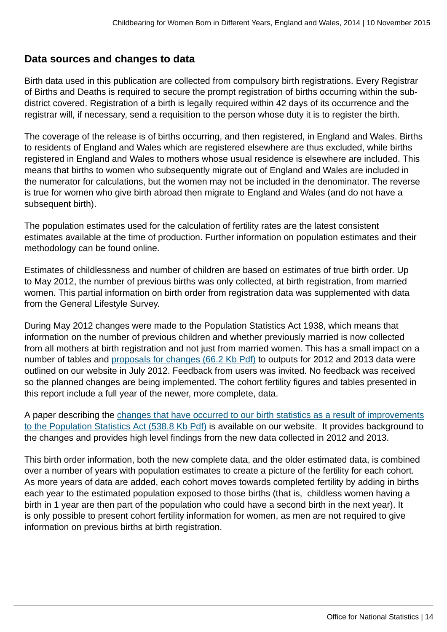# **Data sources and changes to data**

Birth data used in this publication are collected from compulsory birth registrations. Every Registrar of Births and Deaths is required to secure the prompt registration of births occurring within the subdistrict covered. Registration of a birth is legally required within 42 days of its occurrence and the registrar will, if necessary, send a requisition to the person whose duty it is to register the birth.

The coverage of the release is of births occurring, and then registered, in England and Wales. Births to residents of England and Wales which are registered elsewhere are thus excluded, while births registered in England and Wales to mothers whose usual residence is elsewhere are included. This means that births to women who subsequently migrate out of England and Wales are included in the numerator for calculations, but the women may not be included in the denominator. The reverse is true for women who give birth abroad then migrate to England and Wales (and do not have a subsequent birth).

The population estimates used for the calculation of fertility rates are the latest consistent estimates available at the time of production. Further information on population estimates and their methodology can be found online.

Estimates of childlessness and number of children are based on estimates of true birth order. Up to May 2012, the number of previous births was only collected, at birth registration, from married women. This partial information on birth order from registration data was supplemented with data from the General Lifestyle Survey.

During May 2012 changes were made to the Population Statistics Act 1938, which means that information on the number of previous children and whether previously married is now collected from all mothers at birth registration and not just from married women. This has a small impact on a number of tables and [proposals for changes \(66.2 Kb Pdf\)](http://www.ons.gov.uk:80/ons/guide-method/user-guidance/health-and-life-events/how-changes-to-population-statistics-act-will-affect-birth-statistics.pdf) to outputs for 2012 and 2013 data were outlined on our website in July 2012. Feedback from users was invited. No feedback was received so the planned changes are being implemented. The cohort fertility figures and tables presented in this report include a full year of the newer, more complete, data.

A paper describing the [changes that have occurred to our birth statistics as a result of improvements](http://www.ons.gov.uk:80/ons/guide-method/user-guidance/health-and-life-events/quality-assurance-of-new-data-on-birth-registrations.pdf) [to the Population Statistics Act \(538.8 Kb Pdf\)](http://www.ons.gov.uk:80/ons/guide-method/user-guidance/health-and-life-events/quality-assurance-of-new-data-on-birth-registrations.pdf) is available on our website. It provides background to the changes and provides high level findings from the new data collected in 2012 and 2013.

This birth order information, both the new complete data, and the older estimated data, is combined over a number of years with population estimates to create a picture of the fertility for each cohort. As more years of data are added, each cohort moves towards completed fertility by adding in births each year to the estimated population exposed to those births (that is, childless women having a birth in 1 year are then part of the population who could have a second birth in the next year). It is only possible to present cohort fertility information for women, as men are not required to give information on previous births at birth registration.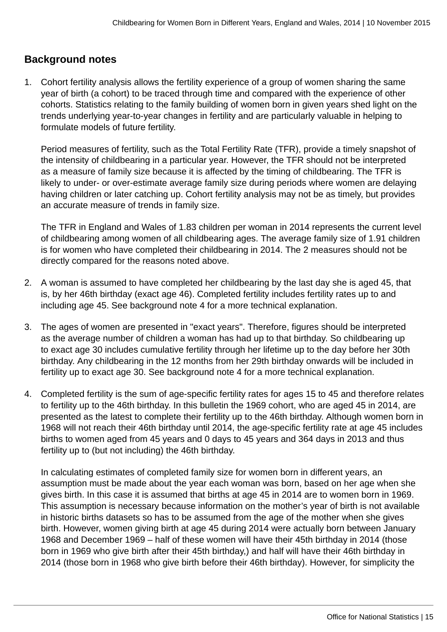# **Background notes**

1. Cohort fertility analysis allows the fertility experience of a group of women sharing the same year of birth (a cohort) to be traced through time and compared with the experience of other cohorts. Statistics relating to the family building of women born in given years shed light on the trends underlying year-to-year changes in fertility and are particularly valuable in helping to formulate models of future fertility.

Period measures of fertility, such as the Total Fertility Rate (TFR), provide a timely snapshot of the intensity of childbearing in a particular year. However, the TFR should not be interpreted as a measure of family size because it is affected by the timing of childbearing. The TFR is likely to under- or over-estimate average family size during periods where women are delaying having children or later catching up. Cohort fertility analysis may not be as timely, but provides an accurate measure of trends in family size.

The TFR in England and Wales of 1.83 children per woman in 2014 represents the current level of childbearing among women of all childbearing ages. The average family size of 1.91 children is for women who have completed their childbearing in 2014. The 2 measures should not be directly compared for the reasons noted above.

- 2. A woman is assumed to have completed her childbearing by the last day she is aged 45, that is, by her 46th birthday (exact age 46). Completed fertility includes fertility rates up to and including age 45. See background note 4 for a more technical explanation.
- 3. The ages of women are presented in "exact years". Therefore, figures should be interpreted as the average number of children a woman has had up to that birthday. So childbearing up to exact age 30 includes cumulative fertility through her lifetime up to the day before her 30th birthday. Any childbearing in the 12 months from her 29th birthday onwards will be included in fertility up to exact age 30. See background note 4 for a more technical explanation.
- 4. Completed fertility is the sum of age-specific fertility rates for ages 15 to 45 and therefore relates to fertility up to the 46th birthday. In this bulletin the 1969 cohort, who are aged 45 in 2014, are presented as the latest to complete their fertility up to the 46th birthday. Although women born in 1968 will not reach their 46th birthday until 2014, the age-specific fertility rate at age 45 includes births to women aged from 45 years and 0 days to 45 years and 364 days in 2013 and thus fertility up to (but not including) the 46th birthday.

In calculating estimates of completed family size for women born in different years, an assumption must be made about the year each woman was born, based on her age when she gives birth. In this case it is assumed that births at age 45 in 2014 are to women born in 1969. This assumption is necessary because information on the mother's year of birth is not available in historic births datasets so has to be assumed from the age of the mother when she gives birth. However, women giving birth at age 45 during 2014 were actually born between January 1968 and December 1969 – half of these women will have their 45th birthday in 2014 (those born in 1969 who give birth after their 45th birthday,) and half will have their 46th birthday in 2014 (those born in 1968 who give birth before their 46th birthday). However, for simplicity the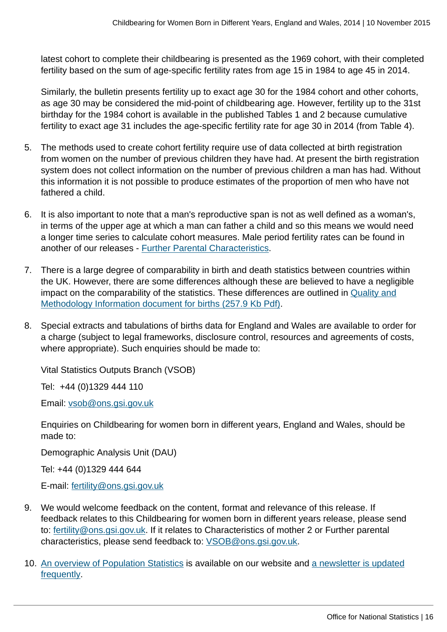latest cohort to complete their childbearing is presented as the 1969 cohort, with their completed fertility based on the sum of age-specific fertility rates from age 15 in 1984 to age 45 in 2014.

Similarly, the bulletin presents fertility up to exact age 30 for the 1984 cohort and other cohorts, as age 30 may be considered the mid-point of childbearing age. However, fertility up to the 31st birthday for the 1984 cohort is available in the published Tables 1 and 2 because cumulative fertility to exact age 31 includes the age-specific fertility rate for age 30 in 2014 (from Table 4).

- 5. The methods used to create cohort fertility require use of data collected at birth registration from women on the number of previous children they have had. At present the birth registration system does not collect information on the number of previous children a man has had. Without this information it is not possible to produce estimates of the proportion of men who have not fathered a child.
- 6. It is also important to note that a man's reproductive span is not as well defined as a woman's, in terms of the upper age at which a man can father a child and so this means we would need a longer time series to calculate cohort measures. Male period fertility rates can be found in another of our releases - [Further Parental Characteristics.](http://www.ons.gov.uk:80/ons/rel/vsob1/further-parental-characteristics--england-and-wales/index.html)
- 7. There is a large degree of comparability in birth and death statistics between countries within the UK. However, there are some differences although these are believed to have a negligible impact on the comparability of the statistics. These differences are outlined in [Quality and](http://www.ons.gov.uk:80/ons/guide-method/method-quality/quality/quality-information/population/quality-and-methodology-information-for-birth-statistics.pdf) [Methodology Information document for births \(257.9 Kb Pdf\)](http://www.ons.gov.uk:80/ons/guide-method/method-quality/quality/quality-information/population/quality-and-methodology-information-for-birth-statistics.pdf).
- 8. Special extracts and tabulations of births data for England and Wales are available to order for a charge (subject to legal frameworks, disclosure control, resources and agreements of costs, where appropriate). Such enquiries should be made to:

Vital Statistics Outputs Branch (VSOB)

Tel: +44 (0)1329 444 110

Email: [vsob@ons.gsi.gov.uk](mailto:vsob@ons.gsi.gov.uk)

Enquiries on Childbearing for women born in different years, England and Wales, should be made to:

Demographic Analysis Unit (DAU)

Tel: +44 (0)1329 444 644

E-mail: [fertility@ons.gsi.gov.uk](mailto:fertility@ons.gsi.gov.uk)

- 9. We would welcome feedback on the content, format and relevance of this release. If feedback relates to this Childbearing for women born in different years release, please send to: [fertility@ons.gsi.gov.uk.](mailto:fertility@ons.gsi.gov.uk) If it relates to Characteristics of mother 2 or Further parental characteristics, please send feedback to: [VSOB@ons.gsi.gov.uk.](mailto:VSOB@ons.gsi.gov.uk)
- 10. [An overview of Population Statistics](http://www.ons.gov.uk:80/ons/guide-method/method-quality/specific/population-and-migration/an-overview-of-ons-s-population-statistics/index.html) is available on our website and [a newsletter is updated](http://www.ons.gov.uk:80/ons/guide-method/method-quality/specific/population-and-migration/an-overview-of-ons-s-population-statistics/psd-publications-news/index.html) [frequently](http://www.ons.gov.uk:80/ons/guide-method/method-quality/specific/population-and-migration/an-overview-of-ons-s-population-statistics/psd-publications-news/index.html).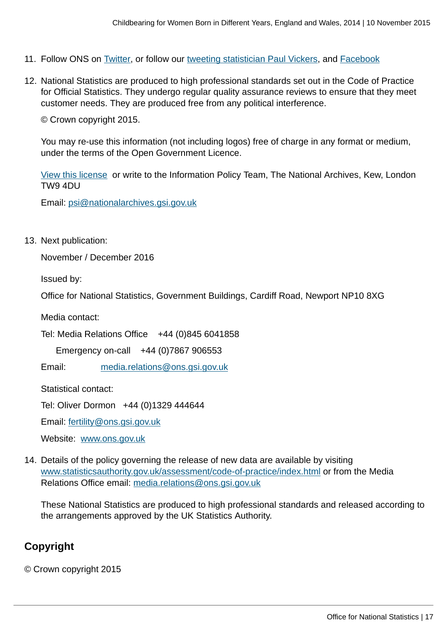- 11. Follow ONS on [Twitter,](http://www.ons.gov.uk:80/ons/external-links/social-media/twitter.html) or follow our [tweeting statistician Paul Vickers,](www.twitter.com/paulvickers_ONS) and [Facebook](http://www.ons.gov.uk:80/ons/external-links/social-media/index.html)
- 12. National Statistics are produced to high professional standards set out in the Code of Practice for Official Statistics. They undergo regular quality assurance reviews to ensure that they meet customer needs. They are produced free from any political interference.

© Crown copyright 2015.

You may re-use this information (not including logos) free of charge in any format or medium, under the terms of the Open Government Licence.

[View this license](www.nationalarchives.gov.uk/doc/open-government-licence/) or write to the Information Policy Team, The National Archives, Kew, London TW9 4DU

Email: [psi@nationalarchives.gsi.gov.uk](mailto:psi@nationalarchives.gsi.gov.uk)

13. Next publication:

November / December 2016

Issued by:

Office for National Statistics, Government Buildings, Cardiff Road, Newport NP10 8XG

Media contact:

Tel: Media Relations Office +44 (0)845 6041858

Emergency on-call +44 (0)7867 906553

Email: [media.relations@ons.gsi.gov.uk](mailto:media.relations@ons.gsi.gov.uk)

Statistical contact:

Tel: Oliver Dormon +44 (0)1329 444644

Email: [fertility@ons.gsi.gov.uk](mailto:fertility@ons.gsi.gov.uk)

Website: [www.ons.gov.uk](http://www.ons.gov.uk)

14. Details of the policy governing the release of new data are available by visiting [www.statisticsauthority.gov.uk/assessment/code-of-practice/index.html](http://www.statisticsauthority.gov.uk/assessment/code-of-practice/index.html) or from the Media Relations Office email: [media.relations@ons.gsi.gov.uk](mailto:media.relations@ons.gsi.gov.uk)

These National Statistics are produced to high professional standards and released according to the arrangements approved by the UK Statistics Authority.

# **Copyright**

© Crown copyright 2015